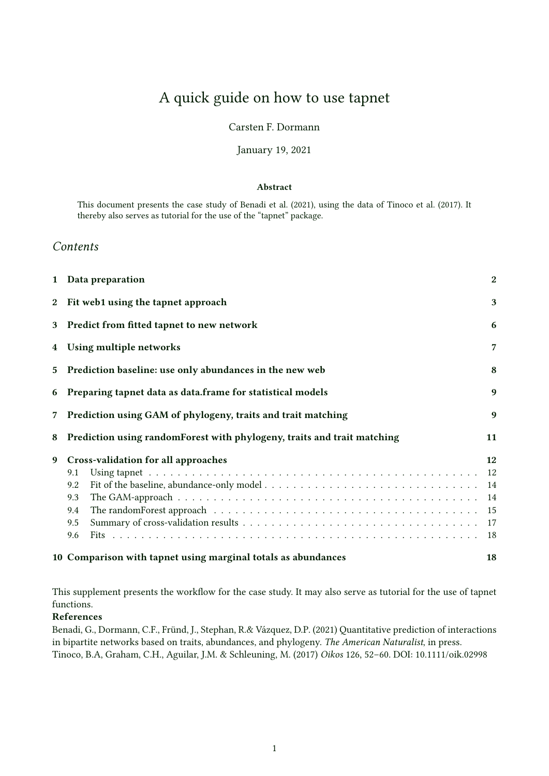# A quick guide on how to use tapnet

### Carsten F. Dormann

### January 19, 2021

### Abstract

This document presents the case study of Benadi et al. (2021), using the data of Tinoco et al. (2017). It thereby also serves as tutorial for the use of the "tapnet" package.

### Contents

|                | 1 Data preparation                                                            | $\mathbf{2}$ |  |  |  |  |  |
|----------------|-------------------------------------------------------------------------------|--------------|--|--|--|--|--|
| $\mathbf{2}$   | Fit web1 using the tapnet approach                                            | 3            |  |  |  |  |  |
| 3 <sup>1</sup> | Predict from fitted tapnet to new network                                     | 6            |  |  |  |  |  |
| 4              | Using multiple networks                                                       |              |  |  |  |  |  |
| $5^{\circ}$    | Prediction baseline: use only abundances in the new web                       |              |  |  |  |  |  |
| 6              | Preparing tapnet data as data.frame for statistical models                    |              |  |  |  |  |  |
| $\overline{7}$ | Prediction using GAM of phylogeny, traits and trait matching                  |              |  |  |  |  |  |
| 8              | Prediction using randomForest with phylogeny, traits and trait matching<br>11 |              |  |  |  |  |  |
| 9              | Cross-validation for all approaches                                           | 12           |  |  |  |  |  |
|                | 9.1                                                                           | 12           |  |  |  |  |  |
|                | 9.2                                                                           | 14           |  |  |  |  |  |
|                | 9.3                                                                           | 14           |  |  |  |  |  |
|                | 9.4                                                                           | 15           |  |  |  |  |  |
|                | 9.5                                                                           | 17           |  |  |  |  |  |
|                | 9.6                                                                           | 18           |  |  |  |  |  |
|                | 10 Comparison with tapnet using marginal totals as abundances                 | 18           |  |  |  |  |  |

This supplement presents the workflow for the case study. It may also serve as tutorial for the use of tapnet functions.

### References

Benadi, G., Dormann, C.F., Fründ, J., Stephan, R.& Vázquez, D.P. (2021) Quantitative prediction of interactions in bipartite networks based on traits, abundances, and phylogeny. The American Naturalist, in press. Tinoco, B.A, Graham, C.H., Aguilar, J.M. & Schleuning, M. (2017) Oikos 126, 52–60. DOI: 10.1111/oik.02998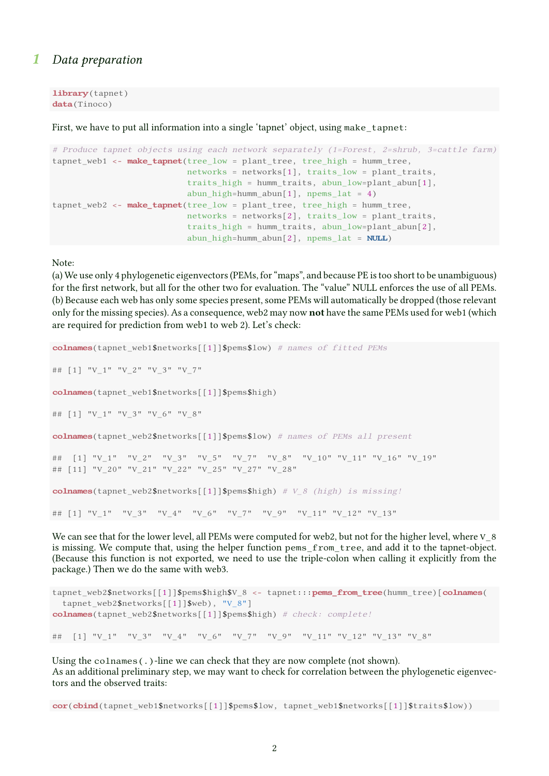## 1 Data preparation

library (tapnet) data(Tinoco)

First, we have to put all information into a single 'tapnet' object, using make tapnet:

```
# Produce tapnet objects using each network separately (1=Forest, 2=shrub, 3=cattle farm)
tapnet_web1 <- make_tapnet(tree_low = plant_tree, tree_high = humm_tree,
                           networks = networks[1], traits_low = plant_traits,
                           traits_high = humm_traits, abun_low=plant_abun[1],
                           abun_high=humm_abun[1], npems_lat = 4)
tapnet_web2 <- make_tapnet(tree_low = plant_tree, tree_high = humm_tree,
                           networks = networks[2], traits_low = plant_traits,
                           traits_high = humm_traits, abun_low=plant_abun[2],
                           abun high=humm abun[2], npems lat = NULL)
```
Note:

(a) We use only 4 phylogenetic eigenvectors (PEMs, for "maps", and because PE is too short to be unambiguous) for the first network, but all for the other two for evaluation. The "value" NULL enforces the use of all PEMs. (b) Because each web has only some species present, some PEMs will automatically be dropped (those relevant only for the missing species). As a consequence, web2 may now not have the same PEMs used for web1 (which are required for prediction from web1 to web 2). Let's check:

```
colnames(tapnet_web1$networks[[1]]$pems$low) # names of fitted PEMs
## [1] "V_1" "V_2" "V_3" "V_7"
colnames(tapnet web1$networks[[1]]$pems$high)
## [1] "V_1" "V_3" "V_6" "V_8"
colnames(tapnet_web2$networks[[1]]$pems$low) # names of PEMs all present
## [1] "V_1" "V_2" "V_3" "V_5" "V_7" "V_8" "V_10" "V_11" "V_16" "V_19"
## [11] "V_20" "V_21" "V_22" "V_25" "V_27" "V_28"
colnames(tapnet web2$networks[[1]]$pems$high) # V 8 (high) is missing!
## [1] "V_1" "V_3" "V_4" "V_6" "V_7" "V_9" "V_11" "V_12" "V_13"
```
We can see that for the lower level, all PEMs were computed for web2, but not for the higher level, where V\_8 is missing. We compute that, using the helper function pems\_from\_tree, and add it to the tapnet-object. (Because this function is not exported, we need to use the triple-colon when calling it explicitly from the package.) Then we do the same with web3.

```
tapnet_web2$networks[[1]]$pems$high$V_8 <- tapnet:::pems_from_tree(humm_tree)[colnames(
 tapnet_web2$networks[[1]]$web), "V_8"]
colnames(tapnet_web2$networks[[1]]$pems$high) # check: complete!
## [1] "V_1" "V_3" "V_4" "V_6" "V_7" "V_9" "V_11" "V_12" "V_13" "V_8"
```
Using the colnames(.)-line we can check that they are now complete (not shown). As an additional preliminary step, we may want to check for correlation between the phylogenetic eigenvectors and the observed traits:

cor(cbind(tapnet\_web1\$networks[[1]]\$pems\$low, tapnet\_web1\$networks[[1]]\$traits\$low))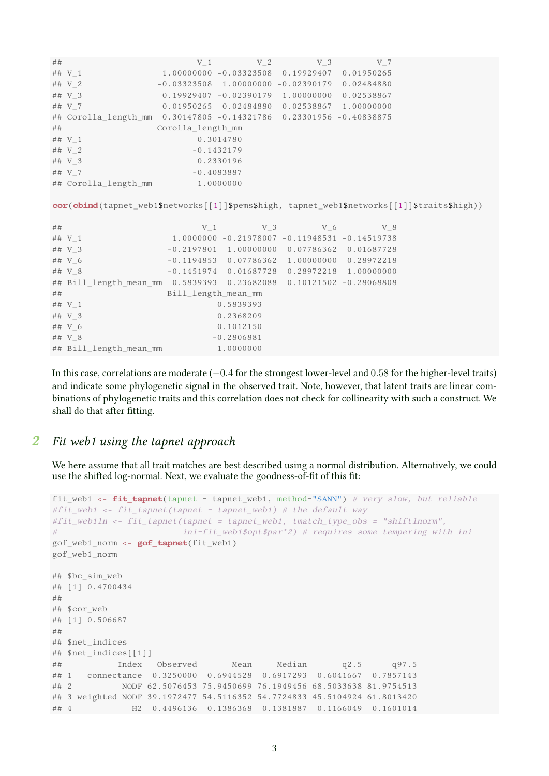| ## |                                                                                              | V <sub>1</sub>      | V <sub>2</sub>            | V <sub>3</sub>                                     | V 7                       |  |
|----|----------------------------------------------------------------------------------------------|---------------------|---------------------------|----------------------------------------------------|---------------------------|--|
|    | ## V 1                                                                                       |                     |                           | 1.00000000 -0.03323508 0.19929407                  | 0.01950265                |  |
|    | ## V 2                                                                                       |                     |                           | $-0.03323508$ 1.00000000 -0.02390179 0.02484880    |                           |  |
|    | ## V 3                                                                                       |                     |                           | $0.19929407 - 0.02390179$ 1.00000000 0.02538867    |                           |  |
|    | ## V 7                                                                                       |                     |                           | 0.01950265 0.02484880 0.02538867 1.00000000        |                           |  |
|    | ## Corolla length mm 0.30147805 -0.14321786 0.23301956 -0.40838875                           |                     |                           |                                                    |                           |  |
| ## |                                                                                              | Corolla_length_mm   |                           |                                                    |                           |  |
|    | ## $V_1$                                                                                     |                     | 0.3014780                 |                                                    |                           |  |
|    | ## V 2                                                                                       |                     | $-0.1432179$              |                                                    |                           |  |
|    | ## V 3                                                                                       |                     | 0.2330196                 |                                                    |                           |  |
|    | ## V 7                                                                                       |                     | $-0.4083887$              |                                                    |                           |  |
|    | ## Corolla_length_mm                                                                         | 1.0000000           |                           |                                                    |                           |  |
|    |                                                                                              |                     |                           |                                                    |                           |  |
|    | cor(cbind(tapnet_web1\$networks[[1]]\$pems\$high, tapnet_web1\$networks[[1]]\$traits\$high)) |                     |                           |                                                    |                           |  |
|    |                                                                                              |                     |                           |                                                    |                           |  |
| ## |                                                                                              | V <sub>1</sub>      | V <sub>3</sub>            | V <sub>6</sub>                                     | V 8                       |  |
|    | ## $V_1$                                                                                     |                     |                           | $1.0000000 - 0.21978007 - 0.11948531 - 0.14519738$ |                           |  |
|    | ## $V_3$                                                                                     |                     |                           | $-0.2197801$ 1.00000000 0.07786362 0.01687728      |                           |  |
|    | ## V 6                                                                                       |                     | $-0.1194853$ $0.07786362$ |                                                    | 1.00000000 0.28972218     |  |
|    | ## V 8                                                                                       | $-0.1451974$        |                           | 0.01687728  0.28972218  1.00000000                 |                           |  |
|    | ## Bill_length_mean_mm  0.5839393                                                            |                     | 0.23682088                |                                                    | $0.10121502 - 0.28068808$ |  |
| ## |                                                                                              | Bill length mean mm |                           |                                                    |                           |  |
|    | ## $V_1$                                                                                     |                     | 0.5839393                 |                                                    |                           |  |
|    | ## V 3                                                                                       |                     | 0.2368209                 |                                                    |                           |  |
|    | ## V 6                                                                                       |                     | 0.1012150                 |                                                    |                           |  |
|    | ## V 8                                                                                       |                     | $-0.2806881$              |                                                    |                           |  |
|    | ## Bill length mean mm                                                                       |                     | 1.0000000                 |                                                    |                           |  |

In this case, correlations are moderate (−0.4 for the strongest lower-level and 0.58 for the higher-level traits) and indicate some phylogenetic signal in the observed trait. Note, however, that latent traits are linear combinations of phylogenetic traits and this correlation does not check for collinearity with such a construct. We shall do that after fitting.

# 2 Fit web1 using the tapnet approach

We here assume that all trait matches are best described using a normal distribution. Alternatively, we could use the shifted log-normal. Next, we evaluate the goodness-of-fit of this fit:

```
fit_web1 <- fit_tapnet(tapnet = tapnet_web1, method="SANN") # very slow, but reliable
#fit_web1 <- fit_tapnet(tapnet = tapnet_web1) # the default way
#fit_web1ln <- fit_tapnet(tapnet = tapnet_web1, tmatch_type_obs = "shiftlnorm",
# ini=fit_web1$opt$par*2) # requires some tempering with ini
gof_web1_norm <- gof_tapnet(fit_web1)
gof_web1_norm
## $bc sim web
## [1] 0.4700434
##
## $cor_web
## [1] 0.506687
##
## $net indices
## $net_indices[[1]]
## Index Observed Mean Median q2.5 q97.5
## 1 connectance 0.3250000 0.6944528 0.6917293 0.6041667 0.7857143
## 2 NODF 62.5076453 75.9450699 76.1949456 68.5033638 81.9754513
## 3 weighted NODF 39.1972477 54.5116352 54.7724833 45.5104924 61.8013420
## 4 H2 0.4496136 0.1386368 0.1381887 0.1166049 0.1601014
```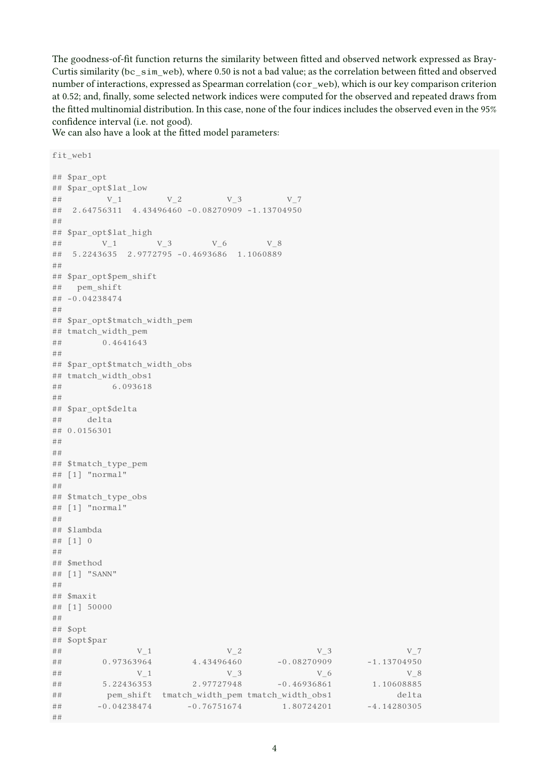The goodness-of-fit function returns the similarity between fitted and observed network expressed as Bray-Curtis similarity (bc\_sim\_web), where 0.50 is not a bad value; as the correlation between fitted and observed number of interactions, expressed as Spearman correlation (cor web), which is our key comparison criterion at 0.52; and, finally, some selected network indices were computed for the observed and repeated draws from the fitted multinomial distribution. In this case, none of the four indices includes the observed even in the 95% confidence interval (i.e. not good).

We can also have a look at the fitted model parameters:

```
fit_web1
## $par_opt
## $par_opt$lat_low
## V_1 V_2 V_3 V_7## 2.64756311 4.43496460 -0.08270909 -1.13704950
##
## $par_opt$lat_high
## V_1 V_3 V_6 V_8
## 5.2243635 2.9772795 -0.4693686 1.1060889
##
## $par_opt$pem_shift
## pem_shift
## -0.04238474
##
## $par_opt$tmatch_width_pem
## tmatch width pem
## 0.4641643
#H## $par_opt$tmatch_width_obs
## tmatch width obs1
## 6.093618
##
## $par_opt$delta
## delta
## 0.0156301
##
##
## $tmatch_type_pem
## [1] "normal"
##
## $tmatch type obs
## [1] "normal"
##
## $lambda
## [1] 0
##
## $method
## [1] "SANN"
#H\# \# \mathbb{R} \mathbb{R} \mathbb{R} \mathbb{R} \mathbb{R} \mathbb{R} \mathbb{R} \mathbb{R} \mathbb{R} \mathbb{R} \mathbb{R} \mathbb{R} \mathbb{R} \mathbb{R} \mathbb{R} \mathbb{R} \mathbb{R} \mathbb{R} \mathbb{R} \mathbb{R} \mathbb{R} \mathbb{R} \mathbb{R} \mathbb## [1] 50000
##
## $opt
## $opt$par
## V_1 V_2 V_3 V_7## 0.97363964 4.43496460 -0.08270909 -1.13704950
## V_1 V_2 V_3 V_6 V_8## 5.22436353 2.97727948 -0.46936861 1.10608885
## pem_shift tmatch_width_pem tmatch_width_obs1 delta
## -0.04238474 -0.76751674 1.80724201 -4.14280305
##
```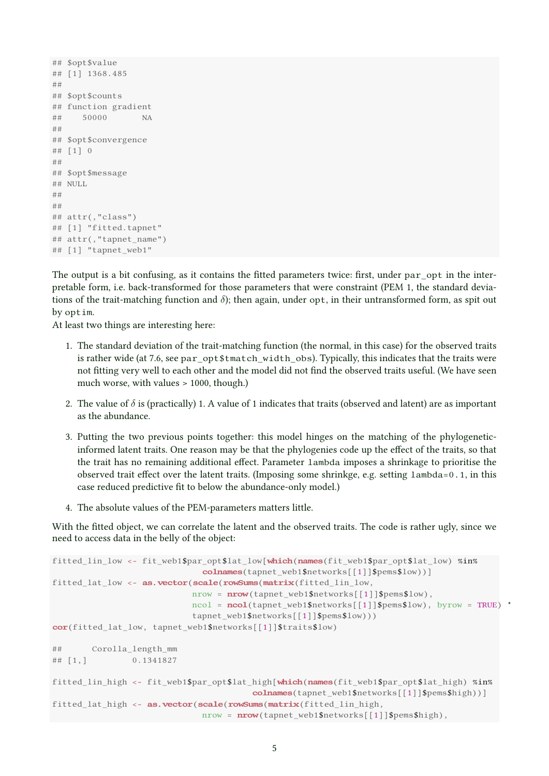```
## $opt$value
## [1] 1368.485
##
## $opt$counts
## function gradient
## 50000 NA
##
## $opt$convergence
## [1] 0
##
## $opt$message
## NULL
##
##
## attr(,"class")
## [1] "fitted.tapnet"
## attr(,"tapnet_name")
## [1] "tapnet_web1"
```
The output is a bit confusing, as it contains the fitted parameters twice: first, under par opt in the interpretable form, i.e. back-transformed for those parameters that were constraint (PEM 1, the standard deviations of the trait-matching function and  $\delta$ ); then again, under opt, in their untransformed form, as spit out by optim.

At least two things are interesting here:

- 1. The standard deviation of the trait-matching function (the normal, in this case) for the observed traits is rather wide (at 7.6, see par\_opt\$tmatch\_width\_obs). Typically, this indicates that the traits were not fitting very well to each other and the model did not find the observed traits useful. (We have seen much worse, with values > 1000, though.)
- 2. The value of  $\delta$  is (practically) 1. A value of 1 indicates that traits (observed and latent) are as important as the abundance.
- 3. Putting the two previous points together: this model hinges on the matching of the phylogeneticinformed latent traits. One reason may be that the phylogenies code up the effect of the traits, so that the trait has no remaining additional effect. Parameter lambda imposes a shrinkage to prioritise the observed trait effect over the latent traits. (Imposing some shrinkge, e.g. setting lambda=0.1, in this case reduced predictive fit to below the abundance-only model.)
- 4. The absolute values of the PEM-parameters matters little.

With the fitted object, we can correlate the latent and the observed traits. The code is rather ugly, since we need to access data in the belly of the object:

```
fitted lin low \langle- fit web1$par opt$lat low[which(names(fit web1$par opt$lat low) %in%
                              colnames(tapnet_web1$networks[[1]]$pems$low))]
fitted lat low <- as.vector(scale(rowSums(matrix(fitted lin low,
                            nrow = nrow (tapnet web1$networks[[1]]$pems$low),
                            \text{ncol} = \text{ncol}(\text{tapnet web1$networks[[1]]$pems$low), byrow = TRUE) *tapnet_web1$networks[[1]]$pems$low)))
cor(fitted_lat_low, tapnet_web1$networks[[1]]$traits$low)
## Corolla_length_mm
## [1,] 0.1341827
fitted_lin_high <- fit_web1$par_opt$lat_high[which(names(fit_web1$par_opt$lat_high) %in%
                                        colnames(tapnet_web1$networks[[1]]$pems$high))]
fitted_lat_high <- as. vector(scale(rowSums(matrix(fitted_lin high,
                              nrow = nrow(tapnet_web1$networks[[1]]$pems$high),
```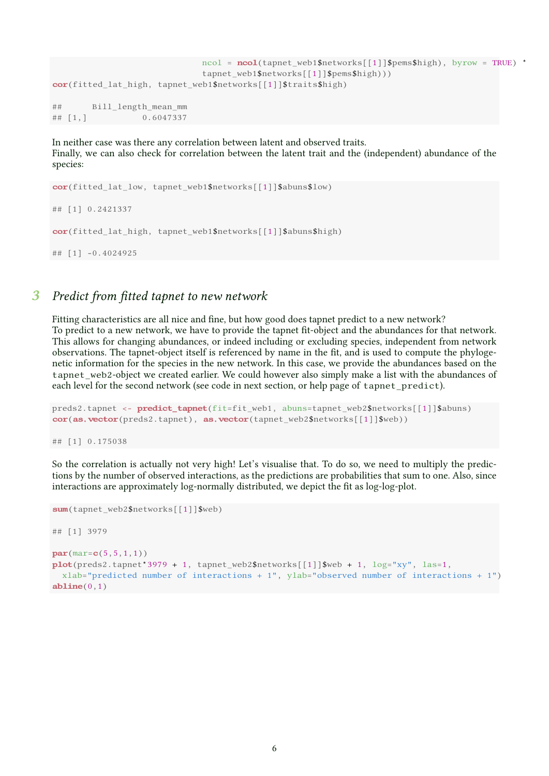```
ncol = ncol(tapnet_web1$networks[[1]]$pems$high), byrow = TRUE) *
                            tapnet_web1$networks[[1]]$pems$high)))
cor(fitted lat high, tapnet web1$networks[[1]]$traits$high)
## Bill length mean mm
## [1,] 0.6047337
```
In neither case was there any correlation between latent and observed traits. Finally, we can also check for correlation between the latent trait and the (independent) abundance of the species:

```
cor(fitted_lat_low, tapnet_web1$networks[[1]]$abuns$low)
## [1] 0.2421337
cor(fitted lat high, tapnet web1$networks[[1]]$abuns$high)
## [1] -0.4024925
```
# **3** Predict from fitted tapnet to new network

Fitting characteristics are all nice and fine, but how good does tapnet predict to a new network? To predict to a new network, we have to provide the tapnet fit-object and the abundances for that network. This allows for changing abundances, or indeed including or excluding species, independent from network observations. The tapnet-object itself is referenced by name in the fit, and is used to compute the phylogenetic information for the species in the new network. In this case, we provide the abundances based on the tapnet\_web2-object we created earlier. We could however also simply make a list with the abundances of each level for the second network (see code in next section, or help page of tapnet\_predict).

```
preds2.tapnet <- predict_tapnet(fit=fit_web1, abuns=tapnet_web2$networks[[1]]$abuns)
cor(as, vector(preds2.tapnet), as, vector(tapnet web2$networks[1]]$web))
```
## [1] 0.175038

So the correlation is actually not very high! Let's visualise that. To do so, we need to multiply the predictions by the number of observed interactions, as the predictions are probabilities that sum to one. Also, since interactions are approximately log-normally distributed, we depict the fit as log-log-plot.

```
sum(tapnet_web2$networks[[1]]$web)
## [1] 3979
par(max=c(5,5,1,1))plot(preds2.tapnet*3979 + 1, tapnetweb2$networks[[1]]$web + 1, log="xy", las=1,xlab="predicted number of interactions + 1", ylab="observed number of interactions + 1")
abline(0,1)
```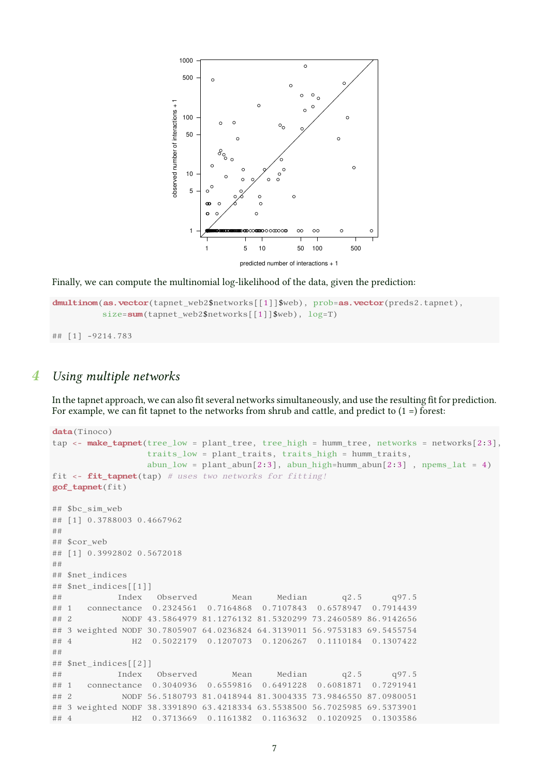

Finally, we can compute the multinomial log-likelihood of the data, given the prediction:

```
dmultinom(as.vector(tapnet web2$networks[[1]]$web), prob=as.vector(preds2.tapnet),
          size=sum(tapnet_web2$networks[[1]]$web), log=T)
```
## [1] -9214.783

# 4 Using multiple networks

In the tapnet approach, we can also fit several networks simultaneously, and use the resulting fit for prediction. For example, we can fit tapnet to the networks from shrub and cattle, and predict to  $(1 =)$  forest:

```
data(Tinoco)
tap <- make_tapnet(tree_low = plant_tree, tree_high = humm_tree, networks = networks[2:3],
                 traits_low = plant_traits, traits_high = humm_traits,
                 abun_low = plant_abun[2:3], abun_high=humm_abun[2:3], npems_lat = 4)fit \leftarrow fit_tapnet(tap) # uses two networks for fitting!
gof_tapnet(fit)
## $bc_sim_web
## [1] 0.3788003 0.4667962
##
## $cor_web
## [1] 0.3992802 0.5672018
##
## $net_indices
## $net_indices[[1]]
## Index Observed Mean Median q2.5 q97.5
## 1 connectance 0.2324561 0.7164868 0.7107843 0.6578947 0.7914439
## 2 NODF 43.5864979 81.1276132 81.5320299 73.2460589 86.9142656
## 3 weighted NODF 30.7805907 64.0236824 64.3139011 56.9753183 69.5455754
## 4 H2 0.5022179 0.1207073 0.1206267 0.1110184 0.1307422
##
## $net_indices[[2]]
## Index Observed Mean Median q2.5 q97.5
## 1 connectance 0.3040936 0.6559816 0.6491228 0.6081871 0.7291941
## 2 NODF 56.5180793 81.0418944 81.3004335 73.9846550 87.0980051
## 3 weighted NODF 38.3391890 63.4218334 63.5538500 56.7025985 69.5373901
## 4 H2 0.3713669 0.1161382 0.1163632 0.1020925 0.1303586
```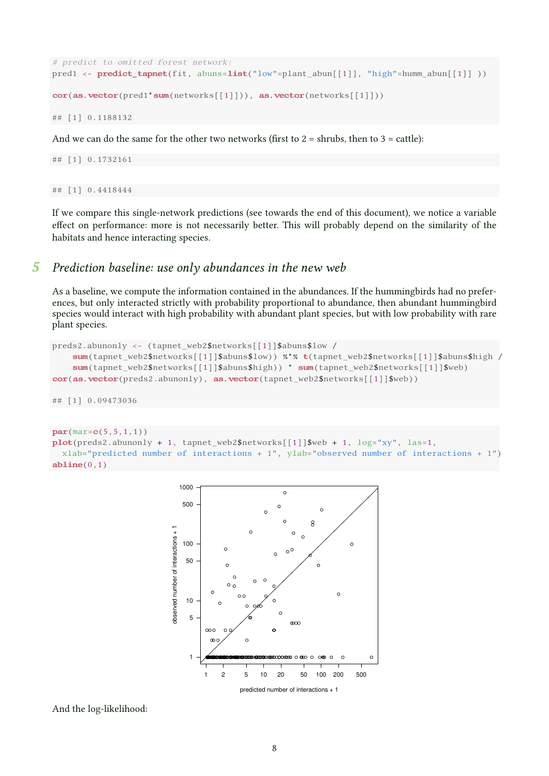```
# predict to omitted forest network:
pred1 <- predict_tapnet(fit, abuns=list("low"=plant_abun[[1]], "high"=humm_abun[[1]] ))
cor(as.vector(pred1 * sum(networks[[1]])), as.vector(networks[[1]]))
```
## [1] 0.1188132

And we can do the same for the other two networks (first to  $2 =$  shrubs, then to  $3 =$  cattle):

## [1] 0.1732161

## [1] 0.4418444

If we compare this single-network predictions (see towards the end of this document), we notice a variable effect on performance: more is not necessarily better. This will probably depend on the similarity of the habitats and hence interacting species.

# 5 Prediction baseline: use only abundances in the new web

As a baseline, we compute the information contained in the abundances. If the hummingbirds had no preferences, but only interacted strictly with probability proportional to abundance, then abundant hummingbird species would interact with high probability with abundant plant species, but with low probability with rare plant species.

```
preds2.abunonly <- (tapnet_web2$networks[[1]]$abuns$low /
    sum(tapnet_web2$networks[[1]]$abuns$low)) %*% t(tapnet_web2$networks[[1]]$abuns$high /
    sum(tapnet_web2$networks[[1]]$abuns$high)) * sum(tapnet_web2$networks[[1]]$web)
cor(as.vector(preds2.abunonly), as.vector(tapnet_web2$networks[[1]]$web))
```
## [1] 0.09473036

```
par(max=c(5,5,1,1))plot(preds2.abunonly + 1, tapnet web2$networks[[1]]$web + 1, log="xy", las=1,xlab="predicted number of interactions + 1", ylab="observed number of interactions + 1")
abline(0,1)
```


And the log-likelihood: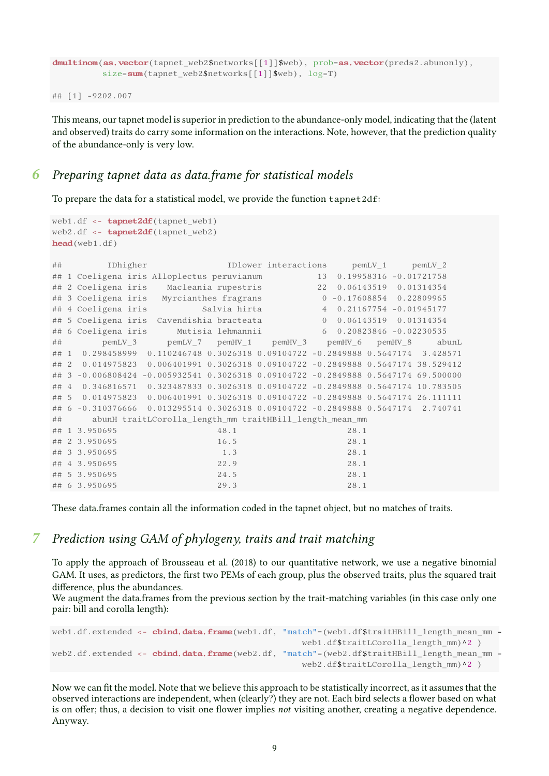```
dmultinom(as.vector(tapnet_web2$networks[[1]]$web), prob=as.vector(preds2.abunonly),
          size=sum(tapnet_web2$networks[[1]]$web), log=T)
## [1] -9202.007
```
This means, our tapnet model is superior in prediction to the abundance-only model, indicating that the (latent and observed) traits do carry some information on the interactions. Note, however, that the prediction quality of the abundance-only is very low.

# **6** Preparing tapnet data as data.frame for statistical models

To prepare the data for a statistical model, we provide the function tapnet2df:

```
web1.df <- tapnet2df(tapnet_web1)
web2.df <- tapnet2df(tapnet_web2)
head(web1.df)
## IDhigher IDlower interactions pemLV_1 pemLV_2
## 1 Coeligena iris Alloplectus peruvianum 13 0.19958316 -0.01721758
## 2 Coeligena iris Macleania rupestris 22 0.06143519 0.01314354
## 3 Coeligena iris Myrcianthes fragrans 0 -0.17608854 0.22809965
## 4 Coeligena iris Salvia hirta 4 0.21167754 -0.01945177
## 5 Coeligena iris Cavendishia bracteata 0 0.06143519 0.01314354
## 6 Coeligena iris Mutisia lehmannii 6 0.20823846 -0.02230535
## pemLV_3 pemLV_7 pemHV_1 pemHV_3 pemHV_6 pemHV_8 abunL
## 1 0.298458999 0.110246748 0.3026318 0.09104722 -0.2849888 0.5647174 3.428571
## 2 0.014975823 0.006401991 0.3026318 0.09104722 -0.2849888 0.5647174 38.529412
## 3 -0.006808424 -0.005932541 0.3026318 0.09104722 -0.2849888 0.5647174 69.500000
## 4 0.346816571 0.323487833 0.3026318 0.09104722 -0.2849888 0.5647174 10.783505
## 5 0.014975823 0.006401991 0.3026318 0.09104722 -0.2849888 0.5647174 26.111111
## 6 -0.310376666 0.013295514 0.3026318 0.09104722 -0.2849888 0.5647174 2.740741
## abunH traitLCorolla length mm traitHBill length mean mm
## 1 3.950695 48.1 28.1
## 2 3.950695 16.5 28.1
## 3 3.950695 1.3 28.1
## 4 3.950695 22.9 28.1
## 5 3.950695 24.5 28.1
## 6 3.950695 29.3 28.1
```
These data.frames contain all the information coded in the tapnet object, but no matches of traits.

# Prediction using GAM of phylogeny, traits and trait matching

To apply the approach of Brousseau et al. (2018) to our quantitative network, we use a negative binomial GAM. It uses, as predictors, the first two PEMs of each group, plus the observed traits, plus the squared trait difference, plus the abundances.

We augment the data.frames from the previous section by the trait-matching variables (in this case only one pair: bill and corolla length):

```
web1.df.extended <- cbind.data.frame(web1.df, "match"=(web1.df$traitHBill length mean mm -
                                                  web1.df$traitLCorolla_length_mm)^2 )
web2.df.extended <- cbind.data.frame(web2.df, "match"=(web2.df$traitHBill length mean mm -
                                                  web2.df$traitLCorolla_length_mm)^2 )
```
Now we can fit the model. Note that we believe this approach to be statistically incorrect, as it assumes that the observed interactions are independent, when (clearly?) they are not. Each bird selects a flower based on what is on offer; thus, a decision to visit one flower implies not visiting another, creating a negative dependence. Anyway.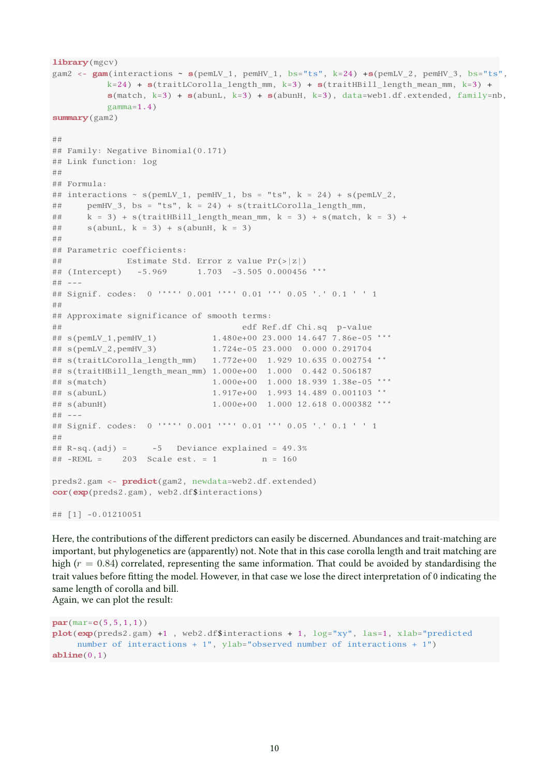```
library (mgcv)
gam2 <- gam(interactions ~ s(pemLV_1, pemHV_1, bs="ts", k=24) + s(pemLV_2, pemHV_3, bs="ts",k=24) + s(traitLCorolla_length_mm, k=3) + s(traitHBill_length_mean_mm, k=3) +
          s(match, k=3) + s(abunL, k=3) + s(abunH, k=3), data=web1.df. extended, family=nb,gamma=1.4)
summary (gam2)
##
## Family: Negative Binomial(0.171)
## Link function: log
##
## Formula:
## interactions \sim s(pemLV_1, pemHV_1, bs = "ts", k = 24) + s(pemLV_2,
## pemHV_3, bs = "ts", k = 24) + s(traitLCorolla_length_mm,
## k = 3 + s(traitHBill_length_mean_mm, k = 3) + s(match, k = 3) +
## s(abunL, k = 3) + s(abunH, k = 3)##
## Parametric coefficients:
## Estimate Std. Error z value Pr(>|z|)
## (Intercept) -5.969 1.703 -3.505 0.000456 ***
## ---
## Signif. codes: 0 '***' 0.001 '**' 0.01 '*' 0.05 '.' 0.1 ' ' 1
##
## Approximate significance of smooth terms:
## edf Ref.df Chi.sq p-value
## s(pemLV_1,pemHV_1) 1.480e+00 23.000 14.647 7.86e-05 ***
## s(pemLV_2,pemHV_3) 1.724e-05 23.000 0.000 0.291704
## s(traitLCorolla_length_mm)  1.772e+00  1.929  10.635  0.002754 **
## s(traitHBill_length_mean_mm) 1.000e+00 1.000 0.442 0.506187
## s(match) 1.000e+00 1.000 18.939 1.38e-05 ***
## s(abunL) 1.917e+00 1.993 14.489 0.001103 **
## s(abunH) 1.000e+00 1.000 12.618 0.000382 ***
## ---## Signif. codes: 0 '***' 0.001 '**' 0.01 '*' 0.05 '.' 0.1 ' ' 1
##
## R-sq.(adj) = -5 Deviance explained = 49.3%
## -REML = 203 Scale est. = 1 n = 160
preds2.gam <- predict(gam2, newdata=web2.df.extended)
cor(exp(preds2.gam), web2.df$interactions)
## [1] -0.01210051
```
Here, the contributions of the different predictors can easily be discerned. Abundances and trait-matching are important, but phylogenetics are (apparently) not. Note that in this case corolla length and trait matching are high ( $r = 0.84$ ) correlated, representing the same information. That could be avoided by standardising the trait values before fitting the model. However, in that case we lose the direct interpretation of 0 indicating the same length of corolla and bill. Again, we can plot the result:

```
par(max=c(5,5,1,1))plot(exp(preds2.gam) +1, web2.df$interactions + 1, log='xy", las=1, xlab="predicted
    number of interactions + 1", ylab="observed number of interactions + 1")
abline(0,1)
```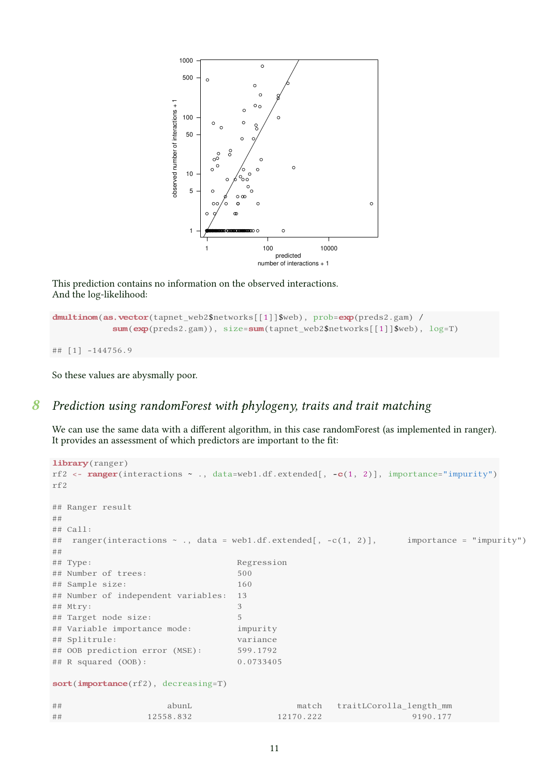

This prediction contains no information on the observed interactions. And the log-likelihood:

```
dmultinom(as.vector(tapnet_web2$networks[[1]]$web), prob=exp(preds2.gam) /
             sum(\text{exp}(preds2.gam)), size=sum(\text{tapnet web2$networks[[1]]$web), log=T)
## [1] -144756.9
```
So these values are abysmally poor.

# 8 Prediction using randomForest with phylogeny, traits and trait matching

We can use the same data with a different algorithm, in this case randomForest (as implemented in ranger). It provides an assessment of which predictors are important to the fit:

```
library (ranger)
rf2 <- range(interactions \sim ., data=web1.df.extended[, -c(1, 2)], importance="impurity")
rf2
## Ranger result
##
## Call:
## ranger(interactions ~ ., data = web1.df.extended[, -c(1, 2)], importance = "impurity")
##
## Type: Regression
## Number of trees: 500
## Sample size: 160
## Number of independent variables: 13
## Mtry: 3
## Target node size: 5
## Variable importance mode: impurity
## Splitrule: variance
## OOB prediction error (MSE): 599.1792
## R squared (OOB): 0.0733405
sort(importance(rf2), decreasing=T)
## abunL match traitLCorolla_length_mm
## 12558.832 12170.222 9190.177
```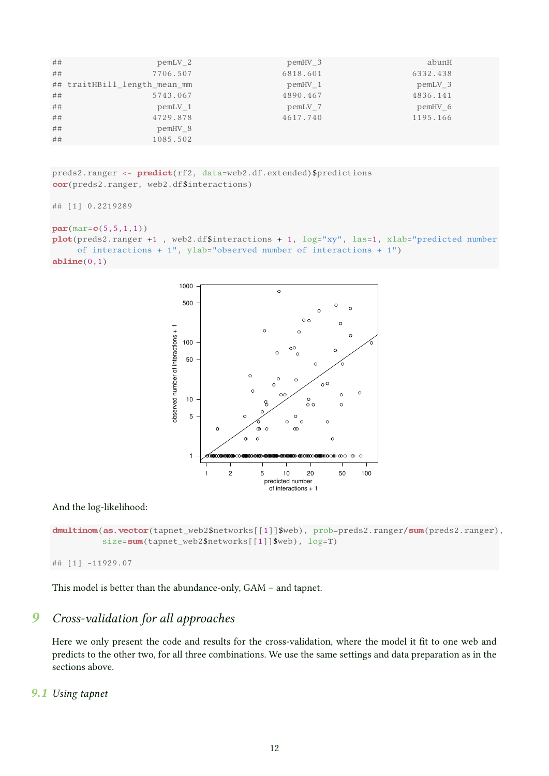| ## | $pemLV_2$                    | $pemHV_3$ | abunH     |  |
|----|------------------------------|-----------|-----------|--|
| ## | 7706.507                     | 6818.601  | 6332.438  |  |
|    | ## traitHBill length mean mm | pemHV 1   | pemLV 3   |  |
| ## | 5743.067                     | 4890.467  | 4836.141  |  |
| ## | $pemLV_1$                    | $pemLV_7$ | $pemHV_6$ |  |
| ## | 4729.878                     | 4617.740  | 1195.166  |  |
| ## | pemHV 8                      |           |           |  |
| ## | 1085.502                     |           |           |  |

preds2.ranger <- predict(rf2, data=web2.df.extended)\$predictions cor(preds2.ranger, web2.df\$interactions)

```
## [1] 0.2219289
par(max = c(5, 5, 1, 1))plot(preds2.ranger +1 , web2.df$interactions + 1, log="xy", las=1, xlab="predicted number
     of interactions + 1", ylab="observed number of interactions + 1")
abline(0,1)
```


### And the log-likelihood:

```
dmultinom(as.vector(tapnet_web2$networks[[1]]$web), prob=preds2.ranger/sum(preds2.ranger),
          size=sum(tapnet_web2$networks[[1]]$web), log=T)
```
## [1] -11929.07

This model is better than the abundance-only, GAM – and tapnet.

# 9 Cross-validation for all approaches

Here we only present the code and results for the cross-validation, where the model it fit to one web and predicts to the other two, for all three combinations. We use the same settings and data preparation as in the sections above.

# 9.1 Using tapnet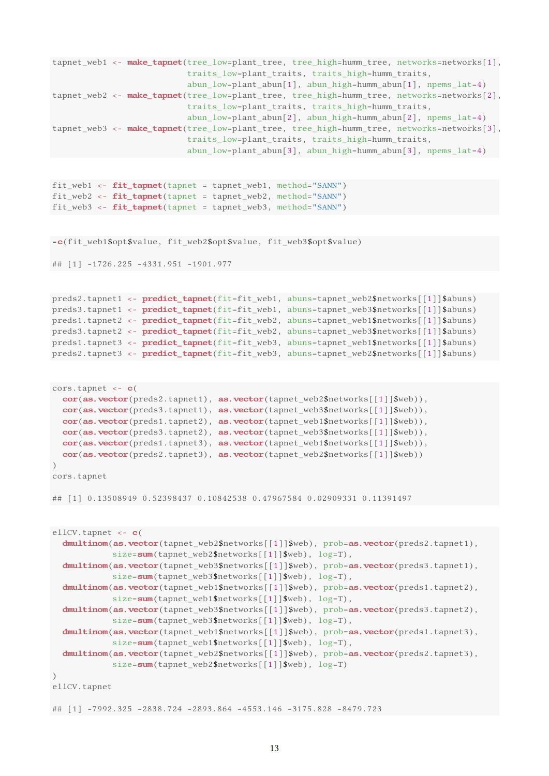```
tapnet_web1 <- make_tapnet(tree_low=plant_tree, tree_high=humm_tree, networks=networks[1],
                           traits_low=plant_traits, traits_high=humm_traits,
                           abun_low=plant_abun[1], abun_high=humm_abun[1], npems_lat=4)
tapnet_web2 <- make_tapnet(tree_low=plant_tree, tree_high=humm_tree, networks=networks[2],
                           traits_low=plant_traits, traits_high=humm_traits,
                           abun_low=plant_abun[2], abun_high=humm_abun[2], npems_lat=4)
tapnet_web3 <- make_tapnet(tree_low=plant_tree, tree_high=humm_tree, networks=networks[3],
                           traits_low=plant_traits, traits_high=humm_traits,
                           abun_low=plant_abun[3], abun_high=humm_abun[3], npems_lat=4)
fit_web1 \leftarrow fit_to\(tapnet = tapnet_web1, method="SANN")
fit_web2 <- fit_tapnet(tapnet = tapnet_web2, method="SANN")
fit_web3 <- fit_tapnet(tapnet = tapnet_web3, method="SANN")
-c(fit_web1$opt$value, fit_web2$opt$value, fit_web3$opt$value)
## [1] -1726.225 -4331.951 -1901.977
preds2.tapnet1 <- predict_tapnet(fit=fit_web1, abuns=tapnet_web2$networks[[1]]$abuns)
preds3.tapnet1 <- predict_tapnet(fit=fit_web1, abuns=tapnet_web3$networks[[1]]$abuns)
preds1.tapnet2 <- predict_tapnet(fit=fit_web2, abuns=tapnet_web1$networks[[1]]$abuns)
preds3.tapnet2 <- predict_tapnet(fit=fit_web2, abuns=tapnet_web3$networks[[1]]$abuns)
preds1.tapnet3 <- predict_tapnet(fit=fit_web3, abuns=tapnet_web1$networks[[1]]$abuns)
preds2.tapnet3 <- predict_tapnet(fit=fit_web3, abuns=tapnet_web2$networks[[1]]$abuns)
cors.tapnet <- c(
 cor(as,vector(preds2.taput1), as.vector(tapnet web2$networks[[1]]$web)),
  cor(as.vector(preds3.tapnet1), as.vector(tapnet_web3$networks[[1]]$web)),cor(as,vector(predor, tangent2), as.vector(tapnet web1$networks[[1]]$web)),
 cor(as, vector(preds3.tapnet2), as, vector(tapnet web3$networks[[1]]$web)),cor(as.vector(preds1.tapnet3), as.vector(tapnet_web1$networks[[1]]$web)),
  cor(as.vector(preds2.tapnet3), as.vector(tapnet_web2$networks[[1]]$web))
\lambdacors.tapnet
## [1] 0.13508949 0.52398437 0.10842538 0.47967584 0.02909331 0.11391497
ellCV.tapnet <- c(
  dmultinom(as.vector(tapnet web2$networks[[1]]$web), prob=as.vector(preds2.tapnet1),
            size=sum(tapnet_web2$networks[[1]]$web), log=T),
  dmultinom(as.vector(tapnet_web3$networks[[1]]$web), prob=as.vector(preds3.tapnet1),
            size=sum(tapnet_web3$networks[[1]]$web), log=T),
  dmultinom(as.vector(tapnet_web1$networks[[1]]$web), prob=as.vector(preds1.tapnet2),
            size=sum(tapnet_web1$networks[[1]]$web), log=T),
  dmultinom(as.vector(tapnet_web3$networks[[1]]$web), prob=as.vector(preds3.tapnet2),
            size=sum(tapnet_web3$networks[[1]]$web), log=T),
  dmultinom(as.vector(tapnet_web1$networks[[1]]$web), prob=as.vector(preds1.tapnet3),
            size=sum(tapnet_web1$networks[[1]]$web), log=T),
  dmultinom(as.vector(tapnet_web2$networks[[1]]$web), prob=as.vector(preds2.tapnet3),
            size=sum(tapnet_web2$networks[[1]]$web), log=T)
)
ellCV.tapnet
## [1] -7992.325 -2838.724 -2893.864 -4553.146 -3175.828 -8479.723
```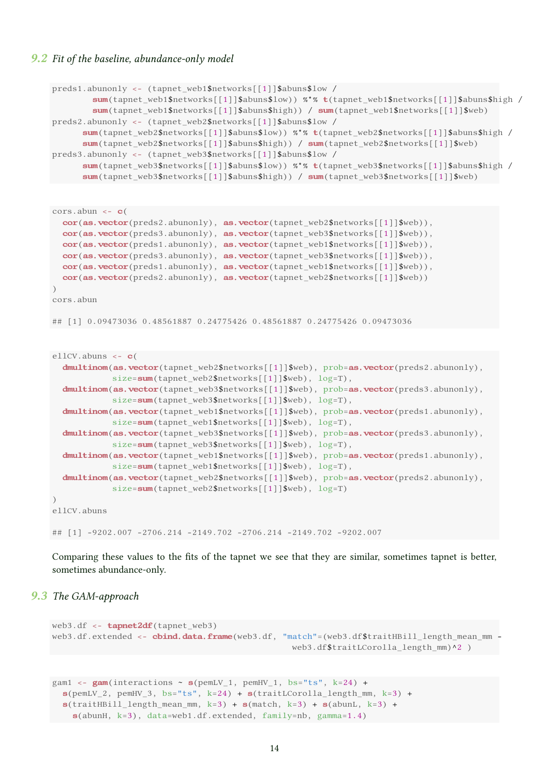#### 9.2 Fit of the baseline, abundance-only model

```
preds1.abunonly <- (tapnet web1$networks[[1]]$abuns$low /
        sum(tapnet_web1$networks[[1]]$abuns$low)) %*% t(tapnet_web1$networks[[1]]$abuns$high /
        sum(tapnet_web1$networks[[1]]$abuns$high)) / sum(tapnet_web1$networks[[1]]$web)
preds2.abunonly <- (tapnet_web2$networks[[1]]$abuns$low /
      sum(tapnet_web2$networks[[1]]$abuns$low)) %*% t(tapnet_web2$networks[[1]]$abuns$high /
      sum(tapnet_web2$networks[[1]]$abuns$high)) / sum(tapnet_web2$networks[[1]]$web)
preds3.abunonly <- (tapnet_web3$networks[[1]]$abuns$low /
      sum(tapnet_web3$networks[[1]]$abuns$low)) %*% t(tapnet_web3$networks[[1]]$abuns$high /
      sum(tapnet_web3$networks[[1]]$abuns$high)) / sum(tapnet_web3$networks[[1]]$web)
```

```
cors.abun \leq -c(
 cor(as.vector(preds2.abunonly), as.vector(tapnet_web2$networks[[1]]$web)),
 cor(as.vector(preds3.abunonly), as.vector(tapnet_web3$networks[[1]]$web)),
 cor(as.vector(preds1.abunonly), as.vector(tapnet_web1$networks[[1]]$web)),
 cor(as.vector(preds3.abunonly), as.vector(tapnet_web3$networks[[1]]$web)),
 cor(as.vector(preds1.abunonly), as.vector(tapnet_web1$networks[[1]]$web)),
 cor(as.vector(preds2.abunonly), as.vector(tapnet_web2$networks[[1]]$web))
)
cors.abun
## [1] 0.09473036 0.48561887 0.24775426 0.48561887 0.24775426 0.09473036
ellCV.abuns <- c(
  dmultinom(as.vector(tapnet web2$networks[[1]]$web), prob=as.vector(preds2.abunonly),
            size=sum(tapnet_web2$networks[[1]]$web), log=T),
  dmultinom(as.vector(tapnet web3$networks[[1]]$web), prob=as.vector(preds3.abunonly),
            size=sum(tapnet_web3$networks[[1]]$web), log=T),
  dmultinom(as.vector(tapnet_web1$networks[[1]]$web), prob=as.vector(preds1.abunonly),
            size=sum(tapnet_web1$networks[[1]]$web), log=T),
  dmultinom(as.vector(tapnet_web3$networks[[1]]$web), prob=as.vector(preds3.abunonly),
            size=sum(tapnet_web3$networks[[1]]$web), log=T),
```

```
dmultinom(as.vector(tapnet_web1$networks[[1]]$web), prob=as.vector(preds1.abunonly),
            size=sum(tapnet_web1$networks[[1]]$web), log=T),
  dmultinom(as.vector(tapnet_web2$networks[[1]]$web), prob=as.vector(preds2.abunonly),
            size=sum(tapnet_web2$networks[[1]]$web), log=T)
\lambdaellCV.abuns
```
## [1] -9202.007 -2706.214 -2149.702 -2706.214 -2149.702 -9202.007

Comparing these values to the fits of the tapnet we see that they are similar, sometimes tapnet is better, sometimes abundance-only.

### 9.3 The GAM-approach

```
web3.df <- tapnet2df(tapnet_web3)
web3.df.extended <- cbind.data.frame(web3.df, "match"=(web3.df$traitHBill_length_mean_mm -
                                                  web3.df$traitLCorolla_length_mm)^2 )
gam1 <- gam(interactions ~ s(pemLV_1, pemHV_1, bs="ts", k=24) +s(pemLV_2, pemHV_3, bs="ts", k=24) + s(traitLCorolla_length_mm, k=3) +
  s(t \text{raitHBill\_length\_mean\_mm, k=3) + s(\text{match}, k=3) + s(\text{abunL, k=3}) +s(abunH, k=3), data=web1.df.extended, family=nb, gamma=1.4)
```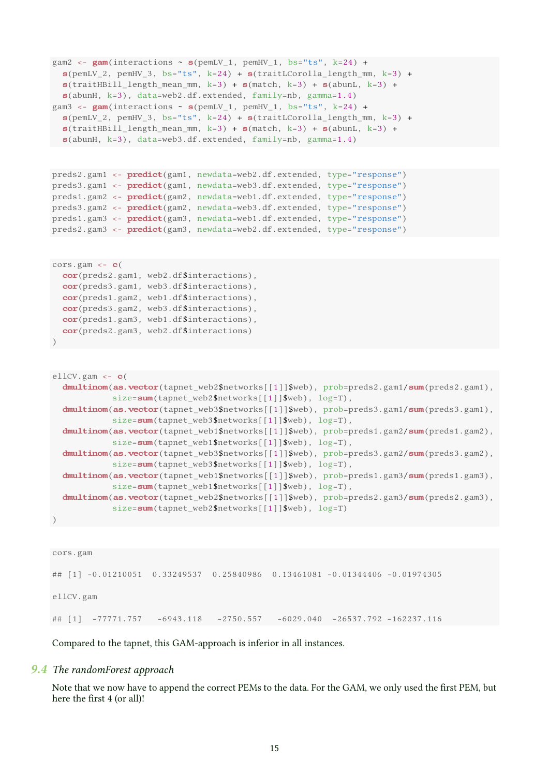```
gam2 <- gam(interactions \sim s(pemLV_1, pemHV_1, bs="ts", k=24) +s(pemLv_2, pemHV_3, bs="ts", k=24) + s(traintCorolla_length_mm, k=3) +s(t \text{raitHBill_length_mean_mm, k=3) + s(\text{match}, k=3) + s(abunL, k=3) +s(abunH, k=3), data=web2.df.extended, family=nb, gamma=1.4)
gam3 <- gam(interactions ~ s(pemLV_1, pemHV_1, bs="ts", k=24) +s(pemLV_2, pemHV_3, bs="ts", k=24) + s(traintCorolla_length_mm, k=3) +s(traitHBill_length_mean_mm, k=3) + s(match, k=3) + s(abunL, k=3) +
 s(about, k=3), data=web3.df. extended, family=nb, gamma=1.4)preds2.gam1 <- predict(gam1, newdata=web2.df.extended, type="response")
preds3.gam1 <- predict(gam1, newdata=web3.df.extended, type="response")
preds1.gam2 <- predict(gam2, newdata=web1.df.extended, type="response")
```

```
preds3.gam2 <- predict(gam2, newdata=web3.df.extended, type="response")
preds1.gam3 <- predict(gam3, newdata=web1.df.extended, type="response")
preds2.gam3 <- predict(gam3, newdata=web2.df.extended, type="response")
```

```
cors.gam \leftarrow c(
  cor(preds2.gam1, web2.df$interactions),
  cor(preds3.gam1, web3.df$interactions),
  cor(preds1.gam2, web1.df$interactions),
  cor(preds3.gam2, web3.df$interactions),
  cor(preds1.gam3, web1.df$interactions),
  cor(preds2.gam3, web2.df$interactions)
\lambda
```

```
ellCV.gam \leq -c(
  dmultinom(as.vector(tapnet_web2$networks[[1]]$web), prob=preds2.gam1/sum(preds2.gam1),
            size=sum(tapnet_web2$networks[[1]]$web), log=T),
  dmultinom(as.vector(tapnet_web3$networks[[1]]$web), prob=preds3.gam1/sum(preds3.gam1),
            size=sum(tapnet_web3$networks[[1]]$web), log=T),
  dmultinom(as.vector(tapnet_web1$networks[[1]]$web), prob=preds1.gam2/sum(preds1.gam2),
            size=sum(tapnet_web1$networks[[1]]$web), log=T),
  dmultinom(as.vector(tapnet_web3$networks[[1]]$web), prob=preds3.gam2/sum(preds3.gam2),
            size=sum(tapnet_web3$networks[[1]]$web), log=T),
  dmultinom(as.vector(tapnet_web1$networks[[1]]$web), prob=preds1.gam3/sum(preds1.gam3),
            size=sum(tapnet_web1$networks[[1]]$web), log=T),
  dmultinom(as.vector(tapnet_web2$networks[[1]]$web), prob=preds2.gam3/sum(preds2.gam3),
            size=sum(tapnet_web2$networks[[1]]$web), log=T)
)
```

```
cors.gam
## [1] -0.01210051 0.33249537 0.25840986 0.13461081 -0.01344406 -0.01974305
ellCV.gam
## [1] -77771.757 -6943.118 -2750.557 -6029.040 -26537.792 -162237.116
```
Compared to the tapnet, this GAM-approach is inferior in all instances.

### 9.4 The randomForest approach

Note that we now have to append the correct PEMs to the data. For the GAM, we only used the first PEM, but here the first 4 (or all)!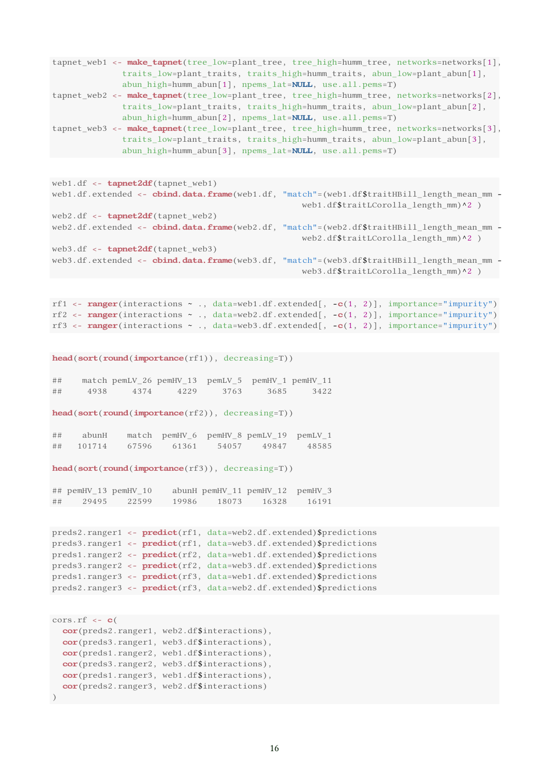```
tapnet_web1 <- make_tapnet(tree_low=plant_tree, tree_high=humm_tree, networks=networks[1],
              traits_low=plant_traits, traits_high=humm_traits, abun_low=plant_abun[1],
             abun_high=humm_abun[1], npems_lat=NULL, use.all.pems=T)
tapnet_web2 <- make_tapnet(tree_low=plant_tree, tree_high=humm_tree, networks=networks[2],
              traits_low=plant_traits, traits_high=humm_traits, abun_low=plant_abun[2],
              abun_high=humm_abun[2], npems_lat=NULL, use.all.pems=T)
tapnet web3 <- make tapnet(tree low=plant tree, tree high=humm tree, networks=networks[3],
              traits_low=plant_traits, traits_high=humm_traits, abun_low=plant_abun[3],
             abun_high=humm_abun[3], npems_lat=NULL, use.all.pems=T)
```

```
web1.df \leftarrow tapnet2df(tapnet_web1)
web1.df.extended <- cbind.data.frame(web1.df, "match"=(web1.df$traitHBill_length_mean_mm -
                                                   web1.df$traitLCorolla_length_mm)^2 )
web2.df <- tapnet2df(tapnet_web2)
web2.df.extended <- cbind.data.frame(web2.df, "match"=(web2.df$traitHBill_length_mean_mm -
                                                   web2.df$traitLCorolla_length_mm)^2 )
web3.df \leftarrow tapnet2df(tapnet web3)
web3.df.extended <- cbind.data.frame(web3.df, "match"=(web3.df$traitHBill length mean mm -
                                                    web3.df$traitLCorolla_length_mm)^2 )
```

```
rf1 <- ranger(interactions \sim ., data=web1.df.extended[, -c(1, 2)], importance="impurity")
rf2 <- r ranger(interactions \sim ., data=web2.df.extended[, -c(1, 2)], importance="impurity")
rf3 <- ranger(interactions \sim ., data=web3.df.extended[, -c(1, 2)], importance="impurity")
```
head(sort(round(importance(rf1)), decreasing=T))

## match pemLV 26 pemHV 13 pemLV 5 pemHV 1 pemHV 11 ## 4938 4374 4229 3763 3685 3422

head(sort(round(importance(rf2)), decreasing=T))

| ## | abunH  |       |       |       | match pemHV_6 pemHV_8 pemLV_19 pemLV_1 |       |
|----|--------|-------|-------|-------|----------------------------------------|-------|
| ## | 101714 | 67596 | 61361 | 54057 | 49847                                  | 48585 |

head(sort(round(importance(rf3)), decreasing=T))

## pemHV\_13 pemHV\_10 abunH pemHV\_11 pemHV\_12 pemHV\_3 ## 29495 22599 19986 18073 16328 16191

```
preds2.ranger1 <- predict(rf1, data=web2.df.extended)$predictions
preds3.ranger1 <- predict(rf1, data=web3.df.extended)$predictions
preds1.ranger2 <- predict(rf2, data=web1.df.extended)$predictions
preds3.ranger2 <- predict(rf2, data=web3.df.extended)$predictions
preds1.ranger3 <- predict(rf3, data=web1.df.extended)$predictions
preds2.ranger3 <- predict(rf3, data=web2.df.extended)$predictions
```

```
\text{cons.rf} \leftarrow \text{c}(
  cor(preds2.ranger1, web2.df$interactions),
  cor(preds3.ranger1, web3.df$interactions),
  cor(preds1.ranger2, web1.df$interactions),
  cor(preds3.ranger2, web3.df$interactions),
  cor(preds1.ranger3, web1.df$interactions),
  cor(preds2.ranger3, web2.df$interactions)
)
```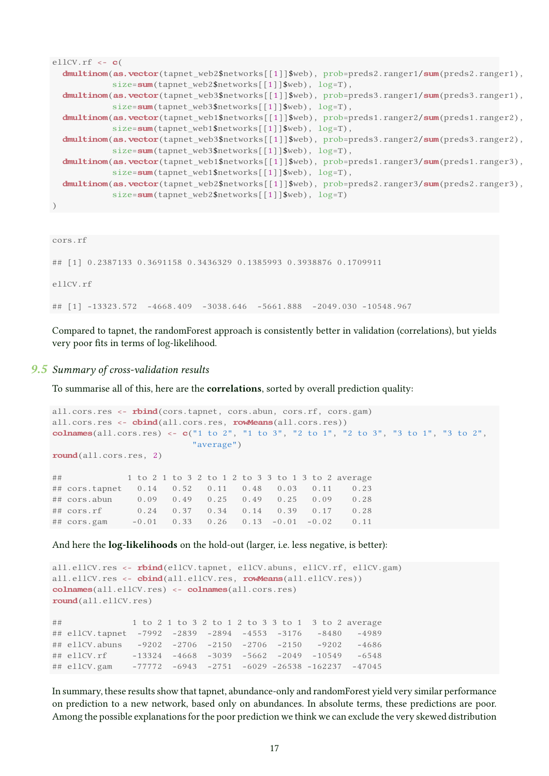```
ellCV.rf \leftarrow cdmultinom(as.vector(tapnet_web2$networks[[1]]$web), prob=preds2.ranger1/sum(preds2.ranger1),
            size=sum(tapnet_web2$networks[[1]]$web), log=T),
  dmultinom(as.vector(tapnet_web3$networks[[1]]$web), prob=preds3.ranger1/sum(preds3.ranger1),
            size=sum(tapnet_web3$networks[[1]]$web), log=T),
  dmultinom(as.vector(tapnet_web1$networks[[1]]$web), prob=preds1.ranger2/sum(preds1.ranger2),
            size=sum(tapnet_web1$networks[[1]]$web), log=T),
  dmultinom(as.vector(tapnet_web3$networks[[1]]$web), prob=preds3.ranger2/sum(preds3.ranger2),
            size=sum(tapnet_web3$networks[[1]]$web), log=T),
  dmultinom(as.vector(tapnet_web1$networks[[1]]$web), prob=preds1.ranger3/sum(preds1.ranger3),
            size=sum(tapnet_web1$networks[[1]]$web), log=T),
  dmultinom(as.vector(tapnet_web2$networks[[1]]$web), prob=preds2.ranger3/sum(preds2.ranger3),
            size=sum(tapnet_web2$networks[[1]]$web), log=T)
)
```

```
cors.rf
```
## [1] 0.2387133 0.3691158 0.3436329 0.1385993 0.3938876 0.1709911 ellCV.rf ## [1] -13323.572 -4668.409 -3038.646 -5661.888 -2049.030 -10548.967

Compared to tapnet, the randomForest approach is consistently better in validation (correlations), but yields very poor fits in terms of log-likelihood.

### 9.5 Summary of cross-validation results

To summarise all of this, here are the correlations, sorted by overall prediction quality:

```
all.cors.res <- rbind(cors.tapnet, cors.abun, cors.rf, cors.gam)
all.cors.res <- cbind(all.cors.res, rowMeans(all.cors.res))
colnames(all.cors.res) <- c("1 to 2", "1 to 3", "2 to 1", "2 to 3", "3 to 1", "3 to 2",
                        "average")
round(all.cors.res, 2)
## 1 to 2 1 to 3 2 to 1 2 to 3 3 to 1 3 to 2 average
## cors.tapnet 0.14 0.52 0.11 0.48 0.03 0.11 0.23
## cors.abun 0.09 0.49 0.25 0.49 0.25 0.09 0.28
## cors.rf 0.24 0.37 0.34 0.14 0.39 0.17 0.28
## cors.gam -0.01 0.33 0.26 0.13 -0.01 -0.02 0.11
```
And here the log-likelihoods on the hold-out (larger, i.e. less negative, is better):

```
all.ellCV.res <- rbind(ellCV.tapnet, ellCV.abuns, ellCV.rf, ellCV.gam)
all.ellCV.res <- cbind(all.ellCV.res, rowMeans(all.ellCV.res))
colnames(all.ellCV.res) <- colnames(all.cors.res)
round(all.ellCV.res)
## 1 to 2 1 to 3 2 to 1 2 to 3 3 to 1 3 to 2 average
## ellCV.tapnet -7992 -2839 -2894 -4553 -3176 -8480 -4989
## ellCV.abuns -9202 -2706 -2150 -2706 -2150 -9202 -4686
## ellCV.rf -13324 -4668 -3039 -5662 -2049 -10549 -6548
## ellCV.gam -77772 -6943 -2751 -6029 -26538 -162237 -47045
```
In summary, these results show that tapnet, abundance-only and randomForest yield very similar performance on prediction to a new network, based only on abundances. In absolute terms, these predictions are poor. Among the possible explanations for the poor prediction we think we can exclude the very skewed distribution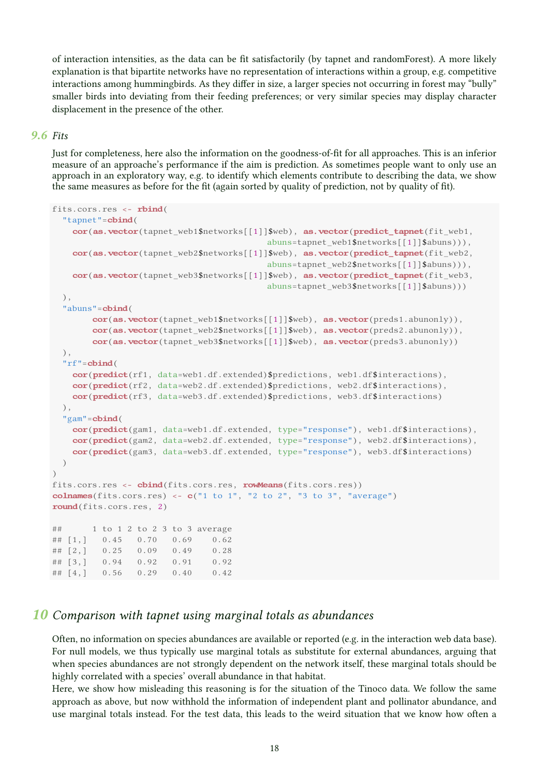of interaction intensities, as the data can be fit satisfactorily (by tapnet and randomForest). A more likely explanation is that bipartite networks have no representation of interactions within a group, e.g. competitive interactions among hummingbirds. As they differ in size, a larger species not occurring in forest may "bully" smaller birds into deviating from their feeding preferences; or very similar species may display character displacement in the presence of the other.

### 9.6 Fits

Just for completeness, here also the information on the goodness-of-fit for all approaches. This is an inferior measure of an approache's performance if the aim is prediction. As sometimes people want to only use an approach in an exploratory way, e.g. to identify which elements contribute to describing the data, we show the same measures as before for the fit (again sorted by quality of prediction, not by quality of fit).

```
fits.cors.res <- rbind(
  "tapnet"=cbind(
   cor(as,vector(tapnet web1$networks[[1]]$web), as,vector(predict-tapnet(fitweb1,abuns=tapnet_web1$networks[[1]]$abuns))),
   cor(as.vector(tapnet web2$networks[[1]]$web), as.vector(predict tapnet(fit web2,
                                          abuns=tapnet_web2$networks[[1]]$abuns))),
   cor(as.vector(tapnet_web3$networks[[1]]$web), as.vector(predict_tapnet(fit_web3,
                                          abuns=tapnet_web3$networks[[1]]$abuns)))
  ),
  "abuns"=cbind(
       cor(as.vector(tapnet_web1$networks[[1]]$web), as.vector(preds1.abunonly)),cor(as.vector(tapnet_web2$networks[[1]]$web), as.vector(preds2.abunonly)),
       cor(as.vector(tapnet_web3$networks[[1]]$web), as.vector(preds3.abunonly))
  ),
  "rf"=cbind(
   cor(predict(rf1, data=web1.df.extended)$predictions, web1.df$interactions),
   cor(predict(rf2, data=web2.df.extended)$predictions, web2.df$interactions),
   cor(predict(rf3, data=web3.df.extended)$predictions, web3.df$interactions)
  ),
  "gam"=cbind(
   cor(predict(gam1, data=web1.df.extended, type="response"), web1.df$interactions),
   cor(predict(gam2, data=web2.df.extended, type="response"), web2.df$interactions),
   cor(predict(gam3, data=web3.df.extended, type="response"), web3.df$interactions)
 \lambda\lambdafits.cors.res <- cbind(fits.cors.res, rowMeans(fits.cors.res))
colnames(fits.cors.res) \leftarrow c("1 to 1", "2 to 2", "3 to 3", "average")
round(fits.cors.res, 2)
## 1 to 1 2 to 2 3 to 3 average
## [1,] 0.45 0.70 0.69 0.62
## [2,] 0.25 0.09 0.49 0.28
## [3,] 0.94 0.92 0.91 0.92
## [4,] 0.56 0.29 0.40 0.42
```
# 10 Comparison with tapnet using marginal totals as abundances

Often, no information on species abundances are available or reported (e.g. in the interaction web data base). For null models, we thus typically use marginal totals as substitute for external abundances, arguing that when species abundances are not strongly dependent on the network itself, these marginal totals should be highly correlated with a species' overall abundance in that habitat.

Here, we show how misleading this reasoning is for the situation of the Tinoco data. We follow the same approach as above, but now withhold the information of independent plant and pollinator abundance, and use marginal totals instead. For the test data, this leads to the weird situation that we know how often a